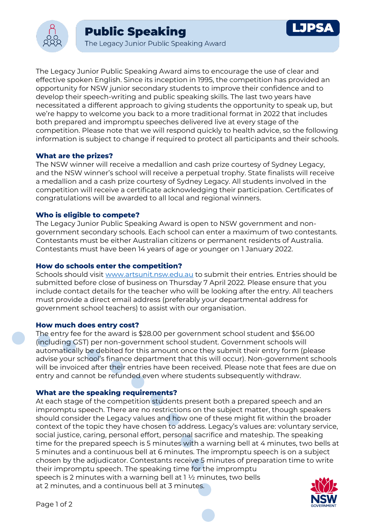

The Legacy Junior Public Speaking Award aims to encourage the use of clear and effective spoken English. Since its inception in 1995, the competition has provided an opportunity for NSW junior secondary students to improve their confidence and to develop their speech-writing and public speaking skills. The last two years have necessitated a different approach to giving students the opportunity to speak up, but we're happy to welcome you back to a more traditional format in 2022 that includes both prepared and impromptu speeches delivered live at every stage of the competition. Please note that we will respond quickly to health advice, so the following information is subject to change if required to protect all participants and their schools.

## **What are the prizes?**

The NSW winner will receive a medallion and cash prize courtesy of Sydney Legacy, and the NSW winner's school will receive a perpetual trophy. State finalists will receive a medallion and a cash prize courtesy of Sydney Legacy. All students involved in the competition will receive a certificate acknowledging their participation. Certificates of congratulations will be awarded to all local and regional winners.

## **Who is eligible to compete?**

The Legacy Junior Public Speaking Award is open to NSW government and nongovernment secondary schools. Each school can enter a maximum of two contestants. Contestants must be either Australian citizens or permanent residents of Australia. Contestants must have been 14 years of age or younger on 1 January 2022.

# **How do schools enter the competition?**

Schools should visit [www.artsunit.nsw.edu.au](https://artsunit.nsw.edu.au/speaking-competitions-how-to-enter) to submit their entries. Entries should be submitted before close of business on Thursday 7 April 2022. Please ensure that you include contact details for the teacher who will be looking after the entry. All teachers must provide a direct email address (preferably your departmental address for government school teachers) to assist with our organisation.

## **How much does entry cost?**

The entry fee for the award is \$28.00 per government school student and \$56.00 (including GST) per non-government school student. Government schools will automatically be debited for this amount once they submit their entry form (please advise your school's finance department that this will occur). Non-government schools will be invoiced after their entries have been received. Please note that fees are due on entry and cannot be refunded even where students subsequently withdraw.

## **What are the speaking requirements?**

At each stage of the competition students present both a prepared speech and an impromptu speech. There are no restrictions on the subject matter, though speakers should consider the Legacy values and how one of these might fit within the broader context of the topic they have chosen to address. Legacy's values are: voluntary service, social justice, caring, personal effort, personal sacrifice and mateship. The speaking time for the prepared speech is 5 minutes with a warning bell at 4 minutes, two bells at 5 minutes and a continuous bell at 6 minutes. The impromptu speech is on a subject chosen by the adjudicator. Contestants receive 5 minutes of preparation time to write their impromptu speech. The speaking time for the impromptu speech is 2 minutes with a warning bell at 1 ½ minutes, two bells at 2 minutes, and a continuous bell at 3 minutes.